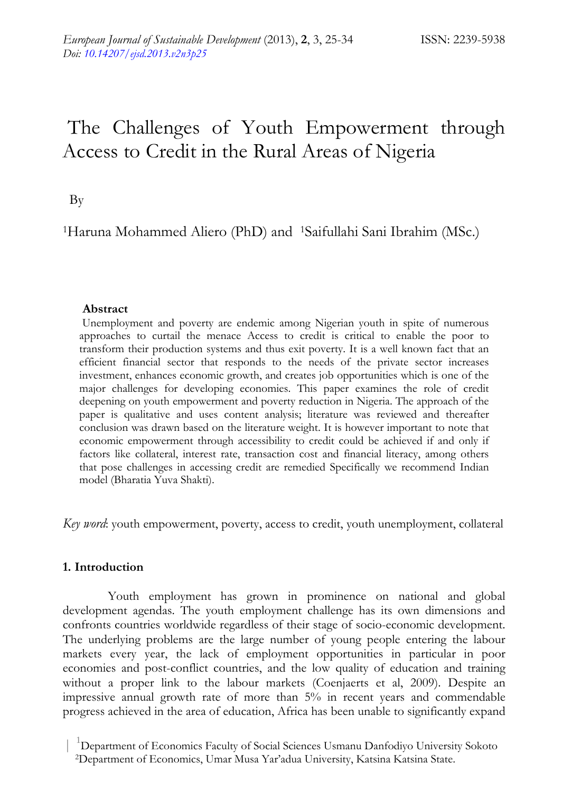# The Challenges of Youth Empowerment through Access to Credit in the Rural Areas of Nigeria

By

1Haruna Mohammed Aliero (PhD) and 1Saifullahi Sani Ibrahim (MSc.)

# **Abstract**

 Unemployment and poverty are endemic among Nigerian youth in spite of numerous approaches to curtail the menace Access to credit is critical to enable the poor to transform their production systems and thus exit poverty. It is a well known fact that an efficient financial sector that responds to the needs of the private sector increases investment, enhances economic growth, and creates job opportunities which is one of the major challenges for developing economies. This paper examines the role of credit deepening on youth empowerment and poverty reduction in Nigeria. The approach of the paper is qualitative and uses content analysis; literature was reviewed and thereafter conclusion was drawn based on the literature weight. It is however important to note that economic empowerment through accessibility to credit could be achieved if and only if factors like collateral, interest rate, transaction cost and financial literacy, among others that pose challenges in accessing credit are remedied Specifically we recommend Indian model (Bharatia Yuva Shakti).

*Key word*: youth empowerment, poverty, access to credit, youth unemployment, collateral

# **1. Introduction**

 Youth employment has grown in prominence on national and global development agendas. The youth employment challenge has its own dimensions and confronts countries worldwide regardless of their stage of socio-economic development. The underlying problems are the large number of young people entering the labour markets every year, the lack of employment opportunities in particular in poor economies and post-conflict countries, and the low quality of education and training without a proper link to the labour markets (Coenjaerts et al, 2009). Despite an impressive annual growth rate of more than 5% in recent years and commendable progress achieved in the area of education, Africa has been unable to significantly expand

 <sup>|</sup> <sup>1</sup> Department of Economics Faculty of Social Sciences Usmanu Danfodiyo University Sokoto 2Department of Economics, Umar Musa Yar'adua University, Katsina Katsina State.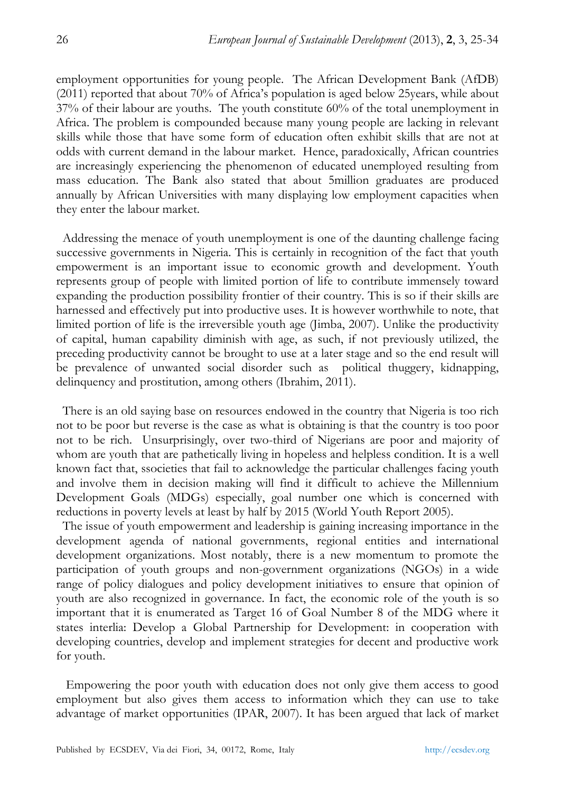employment opportunities for young people. The African Development Bank (AfDB) (2011) reported that about 70% of Africa's population is aged below 25years, while about 37% of their labour are youths. The youth constitute 60% of the total unemployment in Africa. The problem is compounded because many young people are lacking in relevant skills while those that have some form of education often exhibit skills that are not at odds with current demand in the labour market. Hence, paradoxically, African countries are increasingly experiencing the phenomenon of educated unemployed resulting from mass education. The Bank also stated that about 5million graduates are produced annually by African Universities with many displaying low employment capacities when they enter the labour market.

Addressing the menace of youth unemployment is one of the daunting challenge facing successive governments in Nigeria. This is certainly in recognition of the fact that youth empowerment is an important issue to economic growth and development. Youth represents group of people with limited portion of life to contribute immensely toward expanding the production possibility frontier of their country. This is so if their skills are harnessed and effectively put into productive uses. It is however worthwhile to note, that limited portion of life is the irreversible youth age (Jimba, 2007). Unlike the productivity of capital, human capability diminish with age, as such, if not previously utilized, the preceding productivity cannot be brought to use at a later stage and so the end result will be prevalence of unwanted social disorder such as political thuggery, kidnapping, delinquency and prostitution, among others (Ibrahim, 2011).

There is an old saying base on resources endowed in the country that Nigeria is too rich not to be poor but reverse is the case as what is obtaining is that the country is too poor not to be rich. Unsurprisingly, over two-third of Nigerians are poor and majority of whom are youth that are pathetically living in hopeless and helpless condition. It is a well known fact that, ssocieties that fail to acknowledge the particular challenges facing youth and involve them in decision making will find it difficult to achieve the Millennium Development Goals (MDGs) especially, goal number one which is concerned with reductions in poverty levels at least by half by 2015 (World Youth Report 2005).

The issue of youth empowerment and leadership is gaining increasing importance in the development agenda of national governments, regional entities and international development organizations. Most notably, there is a new momentum to promote the participation of youth groups and non-government organizations (NGOs) in a wide range of policy dialogues and policy development initiatives to ensure that opinion of youth are also recognized in governance. In fact, the economic role of the youth is so important that it is enumerated as Target 16 of Goal Number 8 of the MDG where it states interlia: Develop a Global Partnership for Development: in cooperation with developing countries, develop and implement strategies for decent and productive work for youth.

 Empowering the poor youth with education does not only give them access to good employment but also gives them access to information which they can use to take advantage of market opportunities (IPAR, 2007). It has been argued that lack of market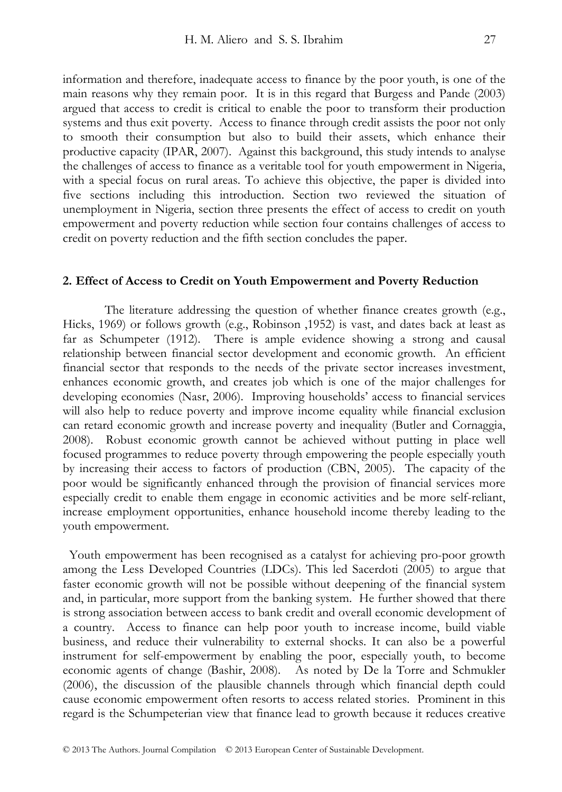information and therefore, inadequate access to finance by the poor youth, is one of the main reasons why they remain poor. It is in this regard that Burgess and Pande (2003) argued that access to credit is critical to enable the poor to transform their production systems and thus exit poverty. Access to finance through credit assists the poor not only to smooth their consumption but also to build their assets, which enhance their productive capacity (IPAR, 2007). Against this background, this study intends to analyse the challenges of access to finance as a veritable tool for youth empowerment in Nigeria, with a special focus on rural areas. To achieve this objective, the paper is divided into five sections including this introduction. Section two reviewed the situation of

unemployment in Nigeria, section three presents the effect of access to credit on youth empowerment and poverty reduction while section four contains challenges of access to credit on poverty reduction and the fifth section concludes the paper.

### **2. Effect of Access to Credit on Youth Empowerment and Poverty Reduction**

The literature addressing the question of whether finance creates growth (e.g., Hicks, 1969) or follows growth (e.g., Robinson ,1952) is vast, and dates back at least as far as Schumpeter (1912). There is ample evidence showing a strong and causal relationship between financial sector development and economic growth. An efficient financial sector that responds to the needs of the private sector increases investment, enhances economic growth, and creates job which is one of the major challenges for developing economies (Nasr, 2006). Improving households' access to financial services will also help to reduce poverty and improve income equality while financial exclusion can retard economic growth and increase poverty and inequality (Butler and Cornaggia, 2008). Robust economic growth cannot be achieved without putting in place well focused programmes to reduce poverty through empowering the people especially youth by increasing their access to factors of production (CBN, 2005). The capacity of the poor would be significantly enhanced through the provision of financial services more especially credit to enable them engage in economic activities and be more self-reliant, increase employment opportunities, enhance household income thereby leading to the youth empowerment.

Youth empowerment has been recognised as a catalyst for achieving pro-poor growth among the Less Developed Countries (LDCs). This led Sacerdoti (2005) to argue that faster economic growth will not be possible without deepening of the financial system and, in particular, more support from the banking system. He further showed that there is strong association between access to bank credit and overall economic development of a country. Access to finance can help poor youth to increase income, build viable business, and reduce their vulnerability to external shocks. It can also be a powerful instrument for self-empowerment by enabling the poor, especially youth, to become economic agents of change (Bashir, 2008). As noted by De la Torre and Schmukler (2006), the discussion of the plausible channels through which financial depth could cause economic empowerment often resorts to access related stories. Prominent in this regard is the Schumpeterian view that finance lead to growth because it reduces creative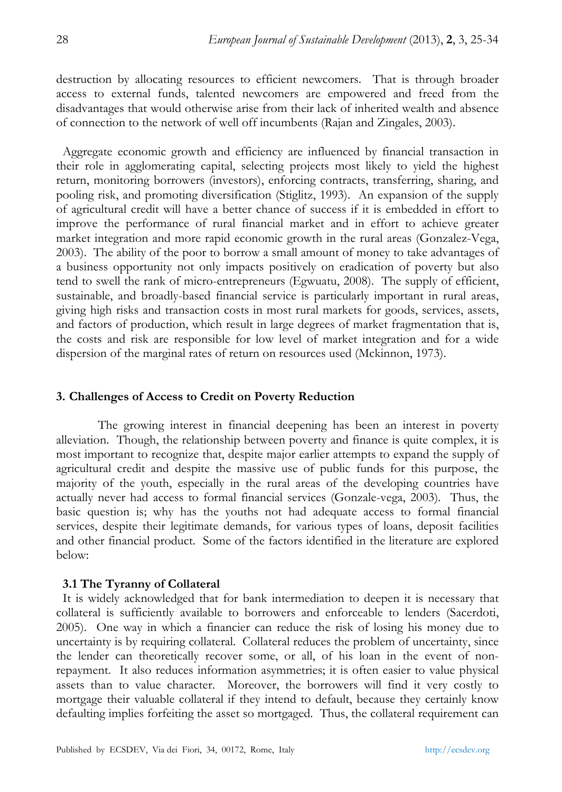destruction by allocating resources to efficient newcomers. That is through broader access to external funds, talented newcomers are empowered and freed from the disadvantages that would otherwise arise from their lack of inherited wealth and absence of connection to the network of well off incumbents (Rajan and Zingales, 2003).

Aggregate economic growth and efficiency are influenced by financial transaction in their role in agglomerating capital, selecting projects most likely to yield the highest return, monitoring borrowers (investors), enforcing contracts, transferring, sharing, and pooling risk, and promoting diversification (Stiglitz, 1993). An expansion of the supply of agricultural credit will have a better chance of success if it is embedded in effort to improve the performance of rural financial market and in effort to achieve greater market integration and more rapid economic growth in the rural areas (Gonzalez-Vega, 2003). The ability of the poor to borrow a small amount of money to take advantages of a business opportunity not only impacts positively on eradication of poverty but also tend to swell the rank of micro-entrepreneurs (Egwuatu, 2008). The supply of efficient, sustainable, and broadly-based financial service is particularly important in rural areas, giving high risks and transaction costs in most rural markets for goods, services, assets, and factors of production, which result in large degrees of market fragmentation that is, the costs and risk are responsible for low level of market integration and for a wide dispersion of the marginal rates of return on resources used (Mckinnon, 1973).

# **3. Challenges of Access to Credit on Poverty Reduction**

The growing interest in financial deepening has been an interest in poverty alleviation. Though, the relationship between poverty and finance is quite complex, it is most important to recognize that, despite major earlier attempts to expand the supply of agricultural credit and despite the massive use of public funds for this purpose, the majority of the youth, especially in the rural areas of the developing countries have actually never had access to formal financial services (Gonzale-vega, 2003). Thus, the basic question is; why has the youths not had adequate access to formal financial services, despite their legitimate demands, for various types of loans, deposit facilities and other financial product. Some of the factors identified in the literature are explored below:

# **3.1 The Tyranny of Collateral**

It is widely acknowledged that for bank intermediation to deepen it is necessary that collateral is sufficiently available to borrowers and enforceable to lenders (Sacerdoti, 2005). One way in which a financier can reduce the risk of losing his money due to uncertainty is by requiring collateral. Collateral reduces the problem of uncertainty, since the lender can theoretically recover some, or all, of his loan in the event of nonrepayment. It also reduces information asymmetries; it is often easier to value physical assets than to value character. Moreover, the borrowers will find it very costly to mortgage their valuable collateral if they intend to default, because they certainly know defaulting implies forfeiting the asset so mortgaged. Thus, the collateral requirement can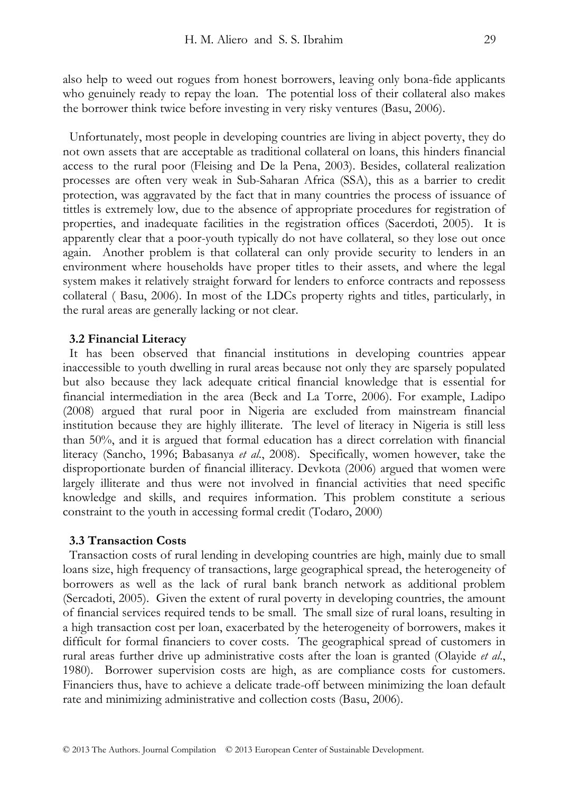also help to weed out rogues from honest borrowers, leaving only bona-fide applicants who genuinely ready to repay the loan. The potential loss of their collateral also makes the borrower think twice before investing in very risky ventures (Basu, 2006).

Unfortunately, most people in developing countries are living in abject poverty, they do not own assets that are acceptable as traditional collateral on loans, this hinders financial access to the rural poor (Fleising and De la Pena, 2003). Besides, collateral realization processes are often very weak in Sub-Saharan Africa (SSA), this as a barrier to credit protection, was aggravated by the fact that in many countries the process of issuance of tittles is extremely low, due to the absence of appropriate procedures for registration of properties, and inadequate facilities in the registration offices (Sacerdoti, 2005). It is apparently clear that a poor-youth typically do not have collateral, so they lose out once again. Another problem is that collateral can only provide security to lenders in an environment where households have proper titles to their assets, and where the legal system makes it relatively straight forward for lenders to enforce contracts and repossess collateral ( Basu, 2006). In most of the LDCs property rights and titles, particularly, in the rural areas are generally lacking or not clear.

## **3.2 Financial Literacy**

It has been observed that financial institutions in developing countries appear inaccessible to youth dwelling in rural areas because not only they are sparsely populated but also because they lack adequate critical financial knowledge that is essential for financial intermediation in the area (Beck and La Torre, 2006). For example, Ladipo (2008) argued that rural poor in Nigeria are excluded from mainstream financial institution because they are highly illiterate. The level of literacy in Nigeria is still less than 50%, and it is argued that formal education has a direct correlation with financial literacy (Sancho, 1996; Babasanya *et al*., 2008). Specifically, women however, take the disproportionate burden of financial illiteracy. Devkota (2006) argued that women were largely illiterate and thus were not involved in financial activities that need specific knowledge and skills, and requires information. This problem constitute a serious constraint to the youth in accessing formal credit (Todaro, 2000)

### **3.3 Transaction Costs**

Transaction costs of rural lending in developing countries are high, mainly due to small loans size, high frequency of transactions, large geographical spread, the heterogeneity of borrowers as well as the lack of rural bank branch network as additional problem (Sercadoti, 2005). Given the extent of rural poverty in developing countries, the amount of financial services required tends to be small. The small size of rural loans, resulting in a high transaction cost per loan, exacerbated by the heterogeneity of borrowers, makes it difficult for formal financiers to cover costs. The geographical spread of customers in rural areas further drive up administrative costs after the loan is granted (Olayide *et al*., 1980). Borrower supervision costs are high, as are compliance costs for customers. Financiers thus, have to achieve a delicate trade-off between minimizing the loan default rate and minimizing administrative and collection costs (Basu, 2006).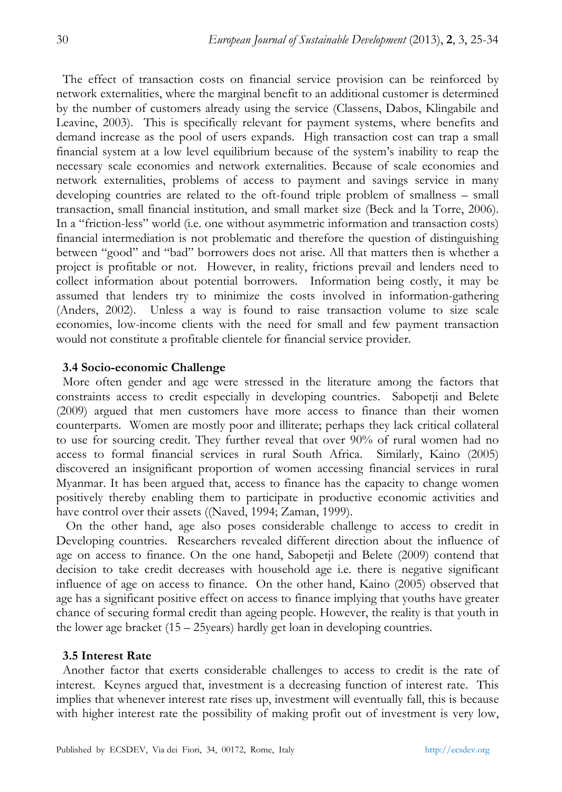The effect of transaction costs on financial service provision can be reinforced by network externalities, where the marginal benefit to an additional customer is determined by the number of customers already using the service (Classens, Dabos, Klingabile and Leavine, 2003). This is specifically relevant for payment systems, where benefits and demand increase as the pool of users expands. High transaction cost can trap a small financial system at a low level equilibrium because of the system's inability to reap the necessary scale economies and network externalities. Because of scale economies and network externalities, problems of access to payment and savings service in many developing countries are related to the oft-found triple problem of smallness – small transaction, small financial institution, and small market size (Beck and la Torre, 2006). In a "friction-less" world (i.e. one without asymmetric information and transaction costs) financial intermediation is not problematic and therefore the question of distinguishing between "good" and "bad" borrowers does not arise. All that matters then is whether a project is profitable or not. However, in reality, frictions prevail and lenders need to collect information about potential borrowers. Information being costly, it may be assumed that lenders try to minimize the costs involved in information-gathering (Anders, 2002). Unless a way is found to raise transaction volume to size scale economies, low-income clients with the need for small and few payment transaction would not constitute a profitable clientele for financial service provider.

## **3.4 Socio-economic Challenge**

More often gender and age were stressed in the literature among the factors that constraints access to credit especially in developing countries. Sabopetji and Belete (2009) argued that men customers have more access to finance than their women counterparts. Women are mostly poor and illiterate; perhaps they lack critical collateral to use for sourcing credit. They further reveal that over 90% of rural women had no access to formal financial services in rural South Africa. Similarly, Kaino (2005) discovered an insignificant proportion of women accessing financial services in rural Myanmar. It has been argued that, access to finance has the capacity to change women positively thereby enabling them to participate in productive economic activities and have control over their assets ((Naved, 1994; Zaman, 1999).

 On the other hand, age also poses considerable challenge to access to credit in Developing countries. Researchers revealed different direction about the influence of age on access to finance. On the one hand, Sabopetji and Belete (2009) contend that decision to take credit decreases with household age i.e. there is negative significant influence of age on access to finance. On the other hand, Kaino (2005) observed that age has a significant positive effect on access to finance implying that youths have greater chance of securing formal credit than ageing people. However, the reality is that youth in the lower age bracket (15 – 25years) hardly get loan in developing countries.

### **3.5 Interest Rate**

Another factor that exerts considerable challenges to access to credit is the rate of interest. Keynes argued that, investment is a decreasing function of interest rate. This implies that whenever interest rate rises up, investment will eventually fall, this is because with higher interest rate the possibility of making profit out of investment is very low,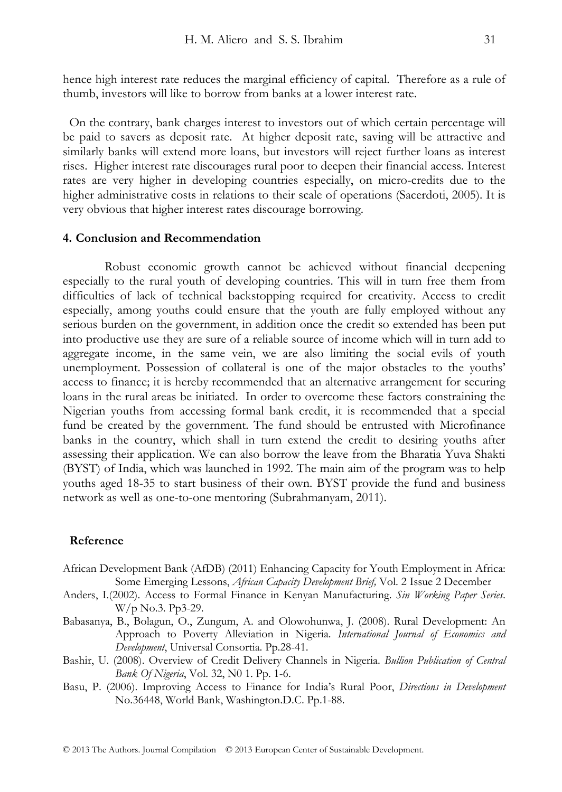hence high interest rate reduces the marginal efficiency of capital. Therefore as a rule of thumb, investors will like to borrow from banks at a lower interest rate.

On the contrary, bank charges interest to investors out of which certain percentage will be paid to savers as deposit rate. At higher deposit rate, saving will be attractive and similarly banks will extend more loans, but investors will reject further loans as interest rises. Higher interest rate discourages rural poor to deepen their financial access. Interest rates are very higher in developing countries especially, on micro-credits due to the higher administrative costs in relations to their scale of operations (Sacerdoti, 2005). It is very obvious that higher interest rates discourage borrowing.

## **4. Conclusion and Recommendation**

Robust economic growth cannot be achieved without financial deepening especially to the rural youth of developing countries. This will in turn free them from difficulties of lack of technical backstopping required for creativity. Access to credit especially, among youths could ensure that the youth are fully employed without any serious burden on the government, in addition once the credit so extended has been put into productive use they are sure of a reliable source of income which will in turn add to aggregate income, in the same vein, we are also limiting the social evils of youth unemployment. Possession of collateral is one of the major obstacles to the youths' access to finance; it is hereby recommended that an alternative arrangement for securing loans in the rural areas be initiated. In order to overcome these factors constraining the Nigerian youths from accessing formal bank credit, it is recommended that a special fund be created by the government. The fund should be entrusted with Microfinance banks in the country, which shall in turn extend the credit to desiring youths after assessing their application. We can also borrow the leave from the Bharatia Yuva Shakti (BYST) of India, which was launched in 1992. The main aim of the program was to help youths aged 18-35 to start business of their own. BYST provide the fund and business network as well as one-to-one mentoring (Subrahmanyam, 2011).

#### **Reference**

- African Development Bank (AfDB) (2011) Enhancing Capacity for Youth Employment in Africa: Some Emerging Lessons, *African Capacity Development Brief,* Vol. 2 Issue 2 December
- Anders, I.(2002). Access to Formal Finance in Kenyan Manufacturing. *Sin Working Paper Series*. W/p No.3. Pp3-29.
- Babasanya, B., Bolagun, O., Zungum, A. and Olowohunwa, J. (2008). Rural Development: An Approach to Poverty Alleviation in Nigeria. *International Journal of Economics and Development*, Universal Consortia. Pp.28-41.
- Bashir, U. (2008). Overview of Credit Delivery Channels in Nigeria. *Bullion Publication of Central Bank Of Nigeria*, Vol. 32, N0 1. Pp. 1-6.
- Basu, P. (2006). Improving Access to Finance for India's Rural Poor, *Directions in Development* No.36448, World Bank, Washington.D.C. Pp.1-88.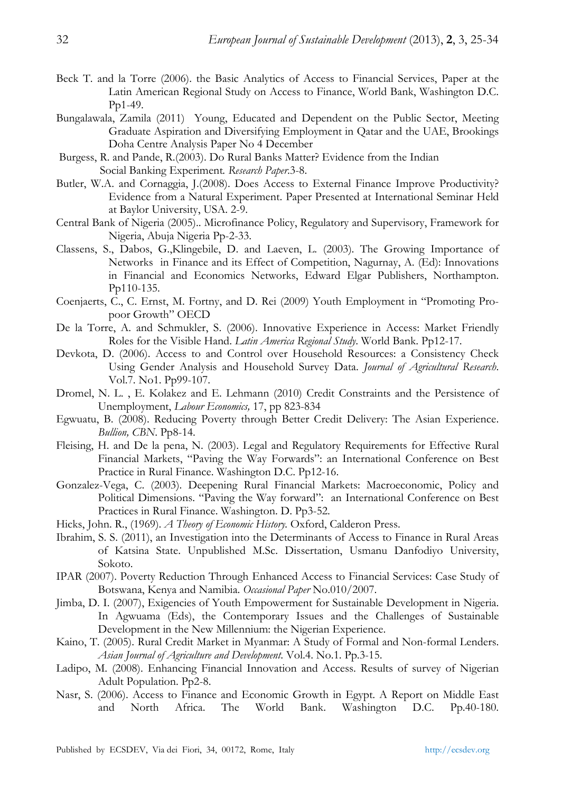- Beck T. and la Torre (2006). the Basic Analytics of Access to Financial Services, Paper at the Latin American Regional Study on Access to Finance, World Bank, Washington D.C. Pp1-49.
- Bungalawala, Zamila (2011) Young, Educated and Dependent on the Public Sector, Meeting Graduate Aspiration and Diversifying Employment in Qatar and the UAE, Brookings Doha Centre Analysis Paper No 4 December
- Burgess, R. and Pande, R.(2003). Do Rural Banks Matter? Evidence from the Indian Social Banking Experiment*. Research Paper*.3-8.
- Butler, W.A. and Cornaggia, J.(2008). Does Access to External Finance Improve Productivity? Evidence from a Natural Experiment. Paper Presented at International Seminar Held at Baylor University, USA. 2-9.
- Central Bank of Nigeria (2005).. Microfinance Policy, Regulatory and Supervisory, Framework for Nigeria, Abuja Nigeria Pp-2-33.
- Classens, S., Dabos, G.,Klingebile, D. and Laeven, L. (2003). The Growing Importance of Networks in Finance and its Effect of Competition, Nagurnay, A. (Ed): Innovations in Financial and Economics Networks, Edward Elgar Publishers, Northampton. Pp110-135.
- Coenjaerts, C., C. Ernst, M. Fortny, and D. Rei (2009) Youth Employment in "Promoting Propoor Growth" OECD
- De la Torre, A. and Schmukler, S. (2006). Innovative Experience in Access: Market Friendly Roles for the Visible Hand. *Latin America Regional Study*. World Bank. Pp12-17.
- Devkota, D. (2006). Access to and Control over Household Resources: a Consistency Check Using Gender Analysis and Household Survey Data. *Journal of Agricultural Research*. Vol.7. No1. Pp99-107.
- Dromel, N. L. , E. Kolakez and E. Lehmann (2010) Credit Constraints and the Persistence of Unemployment, *Labour Economics,* 17, pp 823-834
- Egwuatu, B. (2008). Reducing Poverty through Better Credit Delivery: The Asian Experience. *Bullion, CBN*. Pp8-14.
- Fleising, H. and De la pena, N. (2003). Legal and Regulatory Requirements for Effective Rural Financial Markets, "Paving the Way Forwards": an International Conference on Best Practice in Rural Finance. Washington D.C. Pp12-16.
- Gonzalez-Vega, C. (2003). Deepening Rural Financial Markets: Macroeconomic, Policy and Political Dimensions. "Paving the Way forward": an International Conference on Best Practices in Rural Finance. Washington. D. Pp3-52.
- Hicks, John. R., (1969). *A Theory of Economic History.* Oxford, Calderon Press.
- Ibrahim, S. S. (2011), an Investigation into the Determinants of Access to Finance in Rural Areas of Katsina State. Unpublished M.Sc. Dissertation, Usmanu Danfodiyo University, Sokoto.
- IPAR (2007). Poverty Reduction Through Enhanced Access to Financial Services: Case Study of Botswana, Kenya and Namibia. *Occasional Paper* No.010/2007.
- Jimba, D. I. (2007), Exigencies of Youth Empowerment for Sustainable Development in Nigeria. In Agwuama (Eds), the Contemporary Issues and the Challenges of Sustainable Development in the New Millennium: the Nigerian Experience.
- Kaino, T. (2005). Rural Credit Market in Myanmar: A Study of Formal and Non-formal Lenders. *Asian Journal of Agriculture and Development*. Vol.4. No.1. Pp.3-15.
- Ladipo, M. (2008). Enhancing Financial Innovation and Access. Results of survey of Nigerian Adult Population. Pp2-8.
- Nasr, S. (2006). Access to Finance and Economic Growth in Egypt. A Report on Middle East and North Africa. The World Bank. Washington D.C. Pp.40-180.